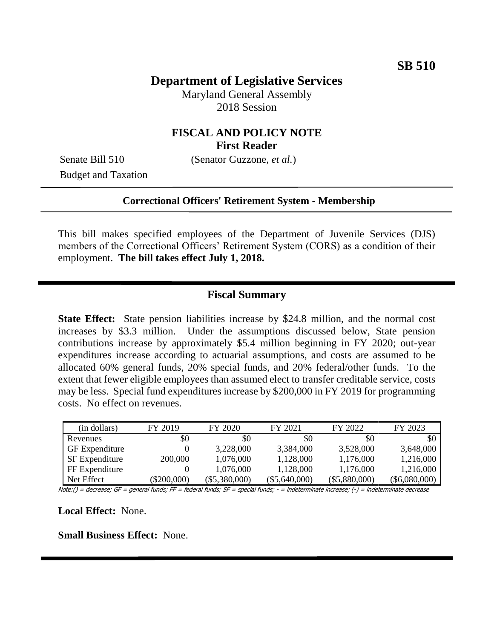## **Department of Legislative Services**

Maryland General Assembly 2018 Session

### **FISCAL AND POLICY NOTE First Reader**

Budget and Taxation

Senate Bill 510 (Senator Guzzone, *et al.*)

#### **Correctional Officers' Retirement System - Membership**

This bill makes specified employees of the Department of Juvenile Services (DJS) members of the Correctional Officers' Retirement System (CORS) as a condition of their employment. **The bill takes effect July 1, 2018.**

#### **Fiscal Summary**

**State Effect:** State pension liabilities increase by \$24.8 million, and the normal cost increases by \$3.3 million. Under the assumptions discussed below, State pension contributions increase by approximately \$5.4 million beginning in FY 2020; out-year expenditures increase according to actuarial assumptions, and costs are assumed to be allocated 60% general funds, 20% special funds, and 20% federal/other funds. To the extent that fewer eligible employees than assumed elect to transfer creditable service, costs may be less. Special fund expenditures increase by \$200,000 in FY 2019 for programming costs. No effect on revenues.

| (in dollars)          | FY 2019       | FY 2020         | FY 2021         | FY 2022         | FY 2023         |
|-----------------------|---------------|-----------------|-----------------|-----------------|-----------------|
| Revenues              | \$0           | \$0             | \$0             | \$0             | \$0             |
| <b>GF</b> Expenditure |               | 3,228,000       | 3,384,000       | 3,528,000       | 3.648,000       |
| <b>SF</b> Expenditure | 200,000       | 1,076,000       | 1,128,000       | 1,176,000       | 1,216,000       |
| FF Expenditure        |               | 1.076.000       | 1,128,000       | 1,176,000       | 1,216,000       |
| Net Effect            | $(\$200,000)$ | $(\$5,380,000)$ | $(\$5,640,000)$ | $(\$5,880,000)$ | $(\$6,080,000)$ |

Note:() = decrease; GF = general funds; FF = federal funds; SF = special funds; - = indeterminate increase; (-) = indeterminate decrease

**Local Effect:** None.

**Small Business Effect:** None.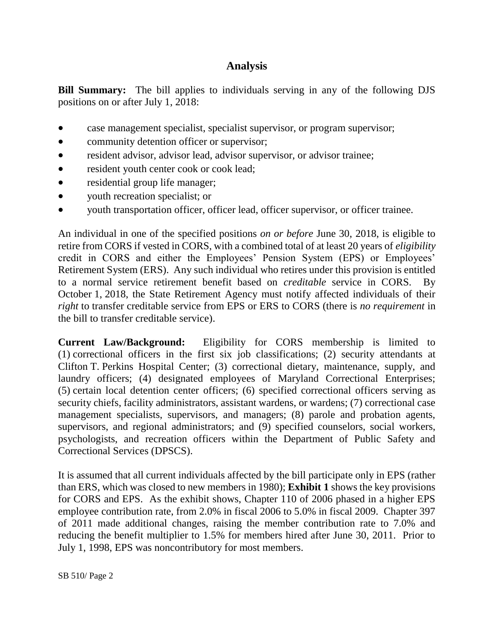# **Analysis**

**Bill Summary:** The bill applies to individuals serving in any of the following DJS positions on or after July 1, 2018:

- case management specialist, specialist supervisor, or program supervisor;
- community detention officer or supervisor;
- resident advisor, advisor lead, advisor supervisor, or advisor trainee;
- resident youth center cook or cook lead;
- residential group life manager;
- vouth recreation specialist; or
- youth transportation officer, officer lead, officer supervisor, or officer trainee.

An individual in one of the specified positions *on or before* June 30, 2018, is eligible to retire from CORS if vested in CORS, with a combined total of at least 20 years of *eligibility* credit in CORS and either the Employees' Pension System (EPS) or Employees' Retirement System (ERS). Any such individual who retires under this provision is entitled to a normal service retirement benefit based on *creditable* service in CORS. By October 1, 2018, the State Retirement Agency must notify affected individuals of their *right* to transfer creditable service from EPS or ERS to CORS (there is *no requirement* in the bill to transfer creditable service).

**Current Law/Background:** Eligibility for CORS membership is limited to (1) correctional officers in the first six job classifications; (2) security attendants at Clifton T. Perkins Hospital Center; (3) correctional dietary, maintenance, supply, and laundry officers; (4) designated employees of Maryland Correctional Enterprises; (5) certain local detention center officers; (6) specified correctional officers serving as security chiefs, facility administrators, assistant wardens, or wardens; (7) correctional case management specialists, supervisors, and managers; (8) parole and probation agents, supervisors, and regional administrators; and (9) specified counselors, social workers, psychologists, and recreation officers within the Department of Public Safety and Correctional Services (DPSCS).

It is assumed that all current individuals affected by the bill participate only in EPS (rather than ERS, which was closed to new members in 1980); **Exhibit 1** shows the key provisions for CORS and EPS. As the exhibit shows, Chapter 110 of 2006 phased in a higher EPS employee contribution rate, from 2.0% in fiscal 2006 to 5.0% in fiscal 2009. Chapter 397 of 2011 made additional changes, raising the member contribution rate to 7.0% and reducing the benefit multiplier to 1.5% for members hired after June 30, 2011. Prior to July 1, 1998, EPS was noncontributory for most members.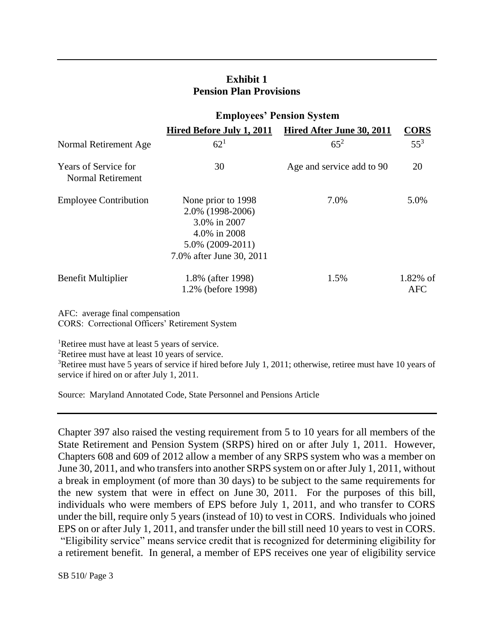### **Exhibit 1 Pension Plan Provisions**

|                                                  | <b>Employees' Pension System</b>                                                                                          |                           |                           |  |
|--------------------------------------------------|---------------------------------------------------------------------------------------------------------------------------|---------------------------|---------------------------|--|
|                                                  | Hired Before July 1, 2011                                                                                                 | Hired After June 30, 2011 | <b>CORS</b>               |  |
| Normal Retirement Age                            | $62^{1}$                                                                                                                  | $65^{2}$                  | $55^3$                    |  |
| Years of Service for<br><b>Normal Retirement</b> | 30                                                                                                                        | Age and service add to 90 | 20                        |  |
| <b>Employee Contribution</b>                     | None prior to 1998<br>2.0% (1998-2006)<br>3.0% in 2007<br>4.0% in 2008<br>$5.0\%$ (2009-2011)<br>7.0% after June 30, 2011 | 7.0%                      | 5.0%                      |  |
| Benefit Multiplier                               | 1.8% (after 1998)<br>1.2% (before 1998)                                                                                   | 1.5%                      | $1.82\%$ of<br><b>AFC</b> |  |

AFC: average final compensation CORS: Correctional Officers' Retirement System

<sup>1</sup>Retiree must have at least 5 years of service.

<sup>2</sup>Retiree must have at least 10 years of service.

<sup>3</sup>Retiree must have 5 years of service if hired before July 1, 2011; otherwise, retiree must have 10 years of service if hired on or after July 1, 2011.

Source: Maryland Annotated Code, State Personnel and Pensions Article

Chapter 397 also raised the vesting requirement from 5 to 10 years for all members of the State Retirement and Pension System (SRPS) hired on or after July 1, 2011. However, Chapters 608 and 609 of 2012 allow a member of any SRPS system who was a member on June 30, 2011, and who transfers into another SRPS system on or after July 1, 2011, without a break in employment (of more than 30 days) to be subject to the same requirements for the new system that were in effect on June 30, 2011. For the purposes of this bill, individuals who were members of EPS before July 1, 2011, and who transfer to CORS under the bill, require only 5 years (instead of 10) to vest in CORS. Individuals who joined EPS on or after July 1, 2011, and transfer under the bill still need 10 years to vest in CORS. "Eligibility service" means service credit that is recognized for determining eligibility for a retirement benefit. In general, a member of EPS receives one year of eligibility service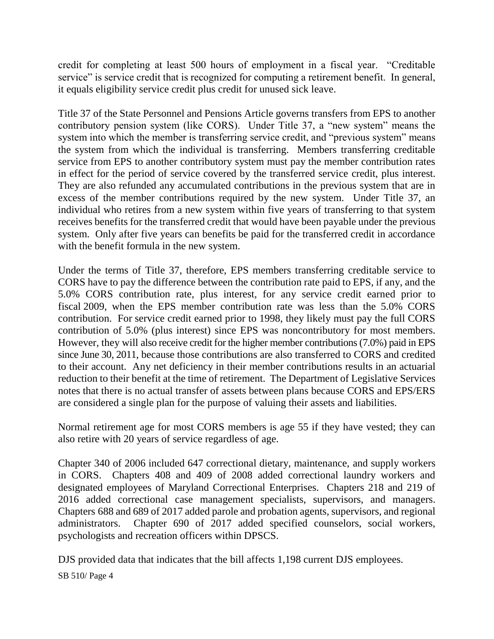credit for completing at least 500 hours of employment in a fiscal year. "Creditable service" is service credit that is recognized for computing a retirement benefit. In general, it equals eligibility service credit plus credit for unused sick leave.

Title 37 of the State Personnel and Pensions Article governs transfers from EPS to another contributory pension system (like CORS). Under Title 37, a "new system" means the system into which the member is transferring service credit, and "previous system" means the system from which the individual is transferring. Members transferring creditable service from EPS to another contributory system must pay the member contribution rates in effect for the period of service covered by the transferred service credit, plus interest. They are also refunded any accumulated contributions in the previous system that are in excess of the member contributions required by the new system. Under Title 37, an individual who retires from a new system within five years of transferring to that system receives benefits for the transferred credit that would have been payable under the previous system. Only after five years can benefits be paid for the transferred credit in accordance with the benefit formula in the new system.

Under the terms of Title 37, therefore, EPS members transferring creditable service to CORS have to pay the difference between the contribution rate paid to EPS, if any, and the 5.0% CORS contribution rate, plus interest, for any service credit earned prior to fiscal 2009, when the EPS member contribution rate was less than the 5.0% CORS contribution. For service credit earned prior to 1998, they likely must pay the full CORS contribution of 5.0% (plus interest) since EPS was noncontributory for most members. However, they will also receive credit for the higher member contributions (7.0%) paid in EPS since June 30, 2011, because those contributions are also transferred to CORS and credited to their account. Any net deficiency in their member contributions results in an actuarial reduction to their benefit at the time of retirement. The Department of Legislative Services notes that there is no actual transfer of assets between plans because CORS and EPS/ERS are considered a single plan for the purpose of valuing their assets and liabilities.

Normal retirement age for most CORS members is age 55 if they have vested; they can also retire with 20 years of service regardless of age.

Chapter 340 of 2006 included 647 correctional dietary, maintenance, and supply workers in CORS. Chapters 408 and 409 of 2008 added correctional laundry workers and designated employees of Maryland Correctional Enterprises. Chapters 218 and 219 of 2016 added correctional case management specialists, supervisors, and managers. Chapters 688 and 689 of 2017 added parole and probation agents, supervisors, and regional administrators. Chapter 690 of 2017 added specified counselors, social workers, psychologists and recreation officers within DPSCS.

DJS provided data that indicates that the bill affects 1,198 current DJS employees.

SB 510/ Page 4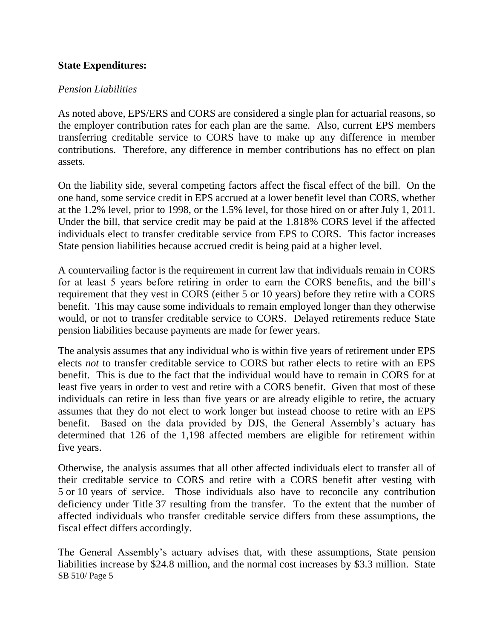### **State Expenditures:**

#### *Pension Liabilities*

As noted above, EPS/ERS and CORS are considered a single plan for actuarial reasons, so the employer contribution rates for each plan are the same. Also, current EPS members transferring creditable service to CORS have to make up any difference in member contributions. Therefore, any difference in member contributions has no effect on plan assets.

On the liability side, several competing factors affect the fiscal effect of the bill. On the one hand, some service credit in EPS accrued at a lower benefit level than CORS, whether at the 1.2% level, prior to 1998, or the 1.5% level, for those hired on or after July 1, 2011. Under the bill, that service credit may be paid at the 1.818% CORS level if the affected individuals elect to transfer creditable service from EPS to CORS. This factor increases State pension liabilities because accrued credit is being paid at a higher level.

A countervailing factor is the requirement in current law that individuals remain in CORS for at least 5 years before retiring in order to earn the CORS benefits, and the bill's requirement that they vest in CORS (either 5 or 10 years) before they retire with a CORS benefit. This may cause some individuals to remain employed longer than they otherwise would, or not to transfer creditable service to CORS. Delayed retirements reduce State pension liabilities because payments are made for fewer years.

The analysis assumes that any individual who is within five years of retirement under EPS elects *not* to transfer creditable service to CORS but rather elects to retire with an EPS benefit. This is due to the fact that the individual would have to remain in CORS for at least five years in order to vest and retire with a CORS benefit. Given that most of these individuals can retire in less than five years or are already eligible to retire, the actuary assumes that they do not elect to work longer but instead choose to retire with an EPS benefit. Based on the data provided by DJS, the General Assembly's actuary has determined that 126 of the 1,198 affected members are eligible for retirement within five years.

Otherwise, the analysis assumes that all other affected individuals elect to transfer all of their creditable service to CORS and retire with a CORS benefit after vesting with 5 or 10 years of service. Those individuals also have to reconcile any contribution deficiency under Title 37 resulting from the transfer. To the extent that the number of affected individuals who transfer creditable service differs from these assumptions, the fiscal effect differs accordingly.

SB 510/ Page 5 The General Assembly's actuary advises that, with these assumptions, State pension liabilities increase by \$24.8 million, and the normal cost increases by \$3.3 million. State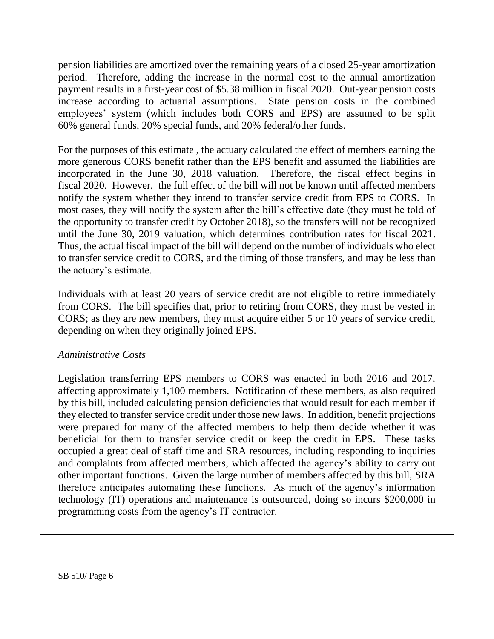pension liabilities are amortized over the remaining years of a closed 25-year amortization period. Therefore, adding the increase in the normal cost to the annual amortization payment results in a first-year cost of \$5.38 million in fiscal 2020. Out-year pension costs increase according to actuarial assumptions. State pension costs in the combined employees' system (which includes both CORS and EPS) are assumed to be split 60% general funds, 20% special funds, and 20% federal/other funds.

For the purposes of this estimate , the actuary calculated the effect of members earning the more generous CORS benefit rather than the EPS benefit and assumed the liabilities are incorporated in the June 30, 2018 valuation. Therefore, the fiscal effect begins in fiscal 2020. However, the full effect of the bill will not be known until affected members notify the system whether they intend to transfer service credit from EPS to CORS. In most cases, they will notify the system after the bill's effective date (they must be told of the opportunity to transfer credit by October 2018), so the transfers will not be recognized until the June 30, 2019 valuation, which determines contribution rates for fiscal 2021. Thus, the actual fiscal impact of the bill will depend on the number of individuals who elect to transfer service credit to CORS, and the timing of those transfers, and may be less than the actuary's estimate.

Individuals with at least 20 years of service credit are not eligible to retire immediately from CORS. The bill specifies that, prior to retiring from CORS, they must be vested in CORS; as they are new members, they must acquire either 5 or 10 years of service credit, depending on when they originally joined EPS.

### *Administrative Costs*

Legislation transferring EPS members to CORS was enacted in both 2016 and 2017, affecting approximately 1,100 members. Notification of these members, as also required by this bill, included calculating pension deficiencies that would result for each member if they elected to transfer service credit under those new laws. In addition, benefit projections were prepared for many of the affected members to help them decide whether it was beneficial for them to transfer service credit or keep the credit in EPS. These tasks occupied a great deal of staff time and SRA resources, including responding to inquiries and complaints from affected members, which affected the agency's ability to carry out other important functions. Given the large number of members affected by this bill, SRA therefore anticipates automating these functions. As much of the agency's information technology (IT) operations and maintenance is outsourced, doing so incurs \$200,000 in programming costs from the agency's IT contractor.